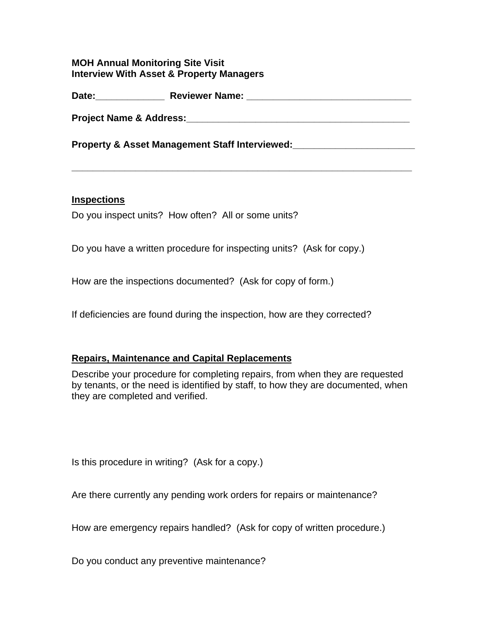## **MOH Annual Monitoring Site Visit Interview With Asset & Property Managers**

**Date:\_\_\_\_\_\_\_\_\_\_\_\_\_ Reviewer Name: \_\_\_\_\_\_\_\_\_\_\_\_\_\_\_\_\_\_\_\_\_\_\_\_\_\_\_\_\_\_\_** 

**Project Name & Address:\_\_\_\_\_\_\_\_\_\_\_\_\_\_\_\_\_\_\_\_\_\_\_\_\_\_\_\_\_\_\_\_\_\_\_\_\_\_\_\_\_\_** 

**\_\_\_\_\_\_\_\_\_\_\_\_\_\_\_\_\_\_\_\_\_\_\_\_\_\_\_\_\_\_\_\_\_\_\_\_\_\_\_\_\_\_\_\_\_\_\_\_\_\_\_\_\_\_\_\_\_\_\_\_\_\_\_\_** 

Property & Asset Management Staff Interviewed: **National Asset Management Staff Interviewed:** 

## **Inspections**

Do you inspect units? How often? All or some units?

Do you have a written procedure for inspecting units? (Ask for copy.)

How are the inspections documented? (Ask for copy of form.)

If deficiencies are found during the inspection, how are they corrected?

## **Repairs, Maintenance and Capital Replacements**

Describe your procedure for completing repairs, from when they are requested by tenants, or the need is identified by staff, to how they are documented, when they are completed and verified.

Is this procedure in writing? (Ask for a copy.)

Are there currently any pending work orders for repairs or maintenance?

How are emergency repairs handled? (Ask for copy of written procedure.)

Do you conduct any preventive maintenance?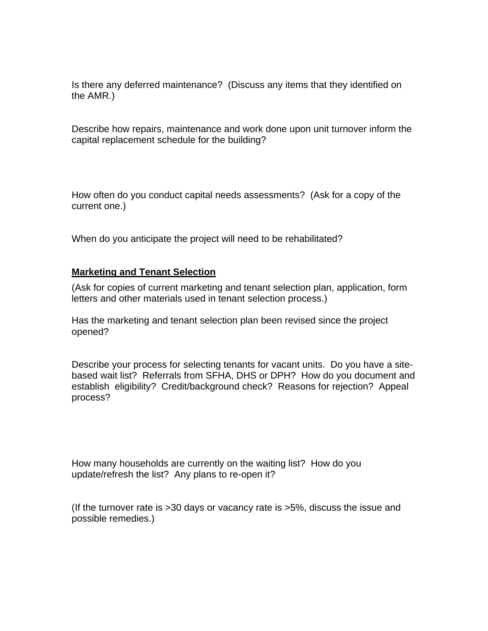Is there any deferred maintenance? (Discuss any items that they identified on the AMR.)

Describe how repairs, maintenance and work done upon unit turnover inform the capital replacement schedule for the building?

How often do you conduct capital needs assessments? (Ask for a copy of the current one.)

When do you anticipate the project will need to be rehabilitated?

## **Marketing and Tenant Selection**

(Ask for copies of current marketing and tenant selection plan, application, form letters and other materials used in tenant selection process.)

Has the marketing and tenant selection plan been revised since the project opened?

Describe your process for selecting tenants for vacant units. Do you have a sitebased wait list? Referrals from SFHA, DHS or DPH? How do you document and establish eligibility? Credit/background check? Reasons for rejection? Appeal process?

How many households are currently on the waiting list? How do you update/refresh the list? Any plans to re-open it?

(If the turnover rate is >30 days or vacancy rate is >5%, discuss the issue and possible remedies.)